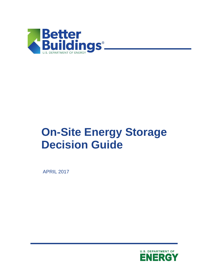

# **On-Site Energy Storage Decision Guide**

APRIL 2017

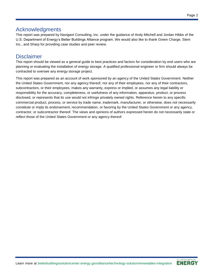#### Page 2

## Acknowledgments

This report was prepared by Navigant Consulting, Inc. under the guidance of Andy Mitchell and Jordan Hibbs of the U.S. Department of Energy's Better Buildings Alliance program. We would also like to thank Green Charge, Stem Inc., and Sharp for providing case studies and peer review.

# **Disclaimer**

This report should be viewed as a general guide to best practices and factors for consideration by end users who are planning or evaluating the installation of energy storage. A qualified professional engineer or firm should always be contracted to oversee any energy storage project.

This report was prepared as an account of work sponsored by an agency of the United States Government. Neither the United States Government, nor any agency thereof, nor any of their employees, nor any of their contractors, subcontractors, or their employees, makes any warranty, express or implied, or assumes any legal liability or responsibility for the accuracy, completeness, or usefulness of any information, apparatus, product, or process disclosed, or represents that its use would not infringe privately owned rights. Reference herein to any specific commercial product, process, or service by trade name, trademark, manufacturer, or otherwise, does not necessarily constitute or imply its endorsement, recommendation, or favoring by the United States Government or any agency, contractor, or subcontractor thereof. The views and opinions of authors expressed herein do not necessarily state or reflect those of the United States Government or any agency thereof.

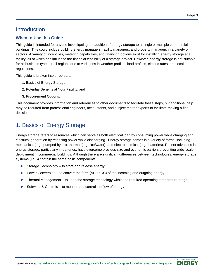# **Introduction**

#### **When to Use this Guide**

This guide is intended for anyone investigating the addition of energy storage to a single or multiple commercial buildings. This could include building energy managers, facility managers, and property managers in a variety of sectors. A variety of incentives, metering capabilities, and financing options exist for installing energy storage at a facility, all of which can influence the financial feasibility of a storage project. However, energy storage is not suitable for all business types or all regions due to variations in weather profiles, load profiles, electric rates, and local regulations.

This guide is broken into three parts:

- 1. Basics of Energy Storage,
- 2. Potential Benefits at Your Facility, and
- 3. Procurement Options.

This document provides information and references to other documents to facilitate these steps, but additional help may be required from professional engineers, accountants, and subject matter experts to facilitate making a final decision.

# 1. Basics of Energy Storage

Energy storage refers to resources which can serve as both electrical load by consuming power while charging and electrical generation by releasing power while discharging. Energy storage comes in a variety of forms, including mechanical (e.g., pumped hydro), thermal (e.g., ice/water), and electrochemical (e.g., batteries). Recent advances in energy storage, particularly in batteries, have overcome previous size and economic barriers preventing wide-scale deployment in commercial buildings. Although there are significant differences between technologies, energy storage systems (ESS) contain the same basic components:

- ▶ Storage Technology to store and release energy
- ▶ Power Conversion to convert the form (AC or DC) of the incoming and outgoing energy
- ▶ Thermal Management to keep the storage technology within the required operating temperature range
- ▶ Software & Controls to monitor and control the flow of energy

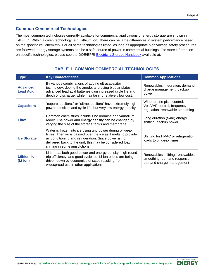#### **Common Commercial Technologies**

The most common technologies currently available for commercial applications of energy storage are shown in [TABLE 1.](#page-3-0) Within a given technology (e.g., lithium ion), there can be large differences in system performance based on the specific cell chemistry. For all of the technologies listed, as long as appropriate high voltage safety procedures are followed, energy storage systems can be a safe source of power in commercial buildings. For more information on specific technologies, please see the DOE/EPRI [Electricity Storage Handbook](http://www.sandia.gov/ess/publications/SAND2015-1002.pdf) available at:

<span id="page-3-0"></span>

| <b>Type</b>                         | <b>Key Characteristics</b>                                                                                                                                                                                                                                                         | <b>Common Applications</b>                                                                    |
|-------------------------------------|------------------------------------------------------------------------------------------------------------------------------------------------------------------------------------------------------------------------------------------------------------------------------------|-----------------------------------------------------------------------------------------------|
| <b>Advanced</b><br><b>Lead Acid</b> | By various combinations of adding ultracapacitor<br>technology, doping the anode, and using bipolar plates,<br>advanced lead acid batteries gain increased cycle life and<br>depth of discharge, while maintaining relatively low cost.                                            | Renewables integration, demand<br>charge management, backup<br>power                          |
| <b>Capacitors</b>                   | "supercapacitors," or "ultracapacitors" have extremely high<br>power densities and cycle life, but very low energy density.                                                                                                                                                        | Wind turbine pitch control,<br>Volt/VAR control, frequency<br>regulation, renewable smoothing |
| <b>Flow</b>                         | Common chemistries include zinc bromine and vanadium<br>redox. The power and energy density can be changed by<br>varying the size of the storage tanks and membrane.                                                                                                               | Long duration (>4hr) energy<br>shifting, backup power                                         |
| <b>Ice Storage</b>                  | Water is frozen into ice using grid power during off-peak<br>times. Then air is passed over the ice as it melts to provide<br>air conditioning and refrigeration. Since power is not<br>delivered back to the grid, this may be considered load<br>shifting in some jurisdictions. | Shifting for HVAC or refrigeration<br>loads to off-peak times                                 |
| <b>Lithium Ion</b><br>(Li-ion)      | Li-ion has both good power and energy density, high round-<br>trip efficiency, and good cycle life. Li-ion prices are being<br>driven down by economies of scale resulting from<br>widespread use in other applications.                                                           | Renewables shifting, renewables<br>smoothing, demand response,<br>demand charge management    |

## **TABLE 1. COMMON COMMERCIAL TECHNOLOGIES**

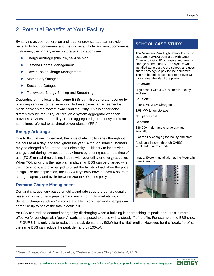# 2. Potential Benefits at Your Facility

By serving as both generation and load, energy storage can provide benefits to both consumers and the grid as a whole. For most commercial customers, the primary energy storage applications are:

- **Energy Arbitrage (buy low, sell/use high)**
- Demand Charge Management
- ▶ Power Factor Charge Management
- **Momentary Outages**
- Sustained Outages
- ▶ Renewable Energy Shifting and Smoothing

Depending on the local utility, some ESSs can also generate revenue by providing services to the larger grid. In these cases, an agreement is made between the system owner and the utility. This is either done directly through the utility, or through a system aggregator who then provides services to the utility. These aggregated groups of systems are sometimes referred to as virtual power plants (VPPs).

#### **Energy Arbitrage**

Due to fluctuations in demand, the price of electricity varies throughout the course of a day, and throughout the year. Although some customers may be charged a flat rate for their electricity, utilities try to incentivize energy used during low-cost off-peak hours by offering customers time of use (TOU) or real-time pricing; inquire with your utility or energy supplier. When TOU pricing is the rate plan in place, an ESS can be charged when the price is low, and discharged to offset the facility's load when the price is high. For this application, the ESS will typically have at least 4 hours of storage capacity and cycle between 200 to 400 times per year.

#### **Demand Charge Management**

Demand charges vary based on utility and rate structure but are usually based on a customer's peak demand each month. In markets with high demand charges such as California and New York, demand charges can comprise up to half of the total electric bill.

#### **SCHOOL CASE STUDY**

The Mountain View High School District in Los Altos (MVLA) partnered with Green Charge to install EV chargers and energy storage at their facility. The system was installed at no cost to the school, and uses shared savings to pay for the equipment. The net benefit is expected to be over \$1 million over the life of the project.

#### **Situation:**

High school with 4,300 students, faculty, and staff

#### **Solution:**

Four Level 2 EV Chargers

1.08 MW Li-ion storage

No upfront cost

#### **Benefits:**

\$86,000 in demand charge savings annually

Flat-fee EV charging for faculty and staff

Additional income through CAISO wholesale energy market

Image: System installation at the Mountain View Campus



An ESS can reduce demand charges by discharging when a building is approaching its peak load. This is more effective for buildings with "peaky" loads as opposed to those with a steady "flat" profile. For example, the ESS shown in [FIGURE 1,](#page-5-0) is only able to reduce the peak demand by 50kW for the "flat" profile. However, for the "peaky" profile, the same ESS can reduce the peak demand by 100kW.



<sup>1</sup> Green Charge, Mountain View Los Altos, "Customer Success Story," October 6, 2015.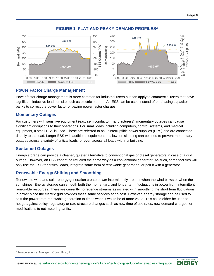<span id="page-5-0"></span>

#### **FIGURE 1. FLAT AND PEAKY DEMAND PROFILES<sup>2</sup>**

#### **Power Factor Charge Management**

Power factor charge management is more common for industrial users but can apply to commercial users that have significant inductive loads on site such as electric motors. An ESS can be used instead of purchasing capacitor banks to correct the power factor or paying power factor charges.

#### **Momentary Outages**

For customers with sensitive equipment (e.g., semiconductor manufacturers), momentary outages can cause significant disruptions to their operations. For small loads including computers, control systems, and medical equipment, a small ESS is used. These are referred to as uninterruptible power supplies (UPS) and are connected directly to the load. Larger ESS with additional equipment to allow for islanding can be used to prevent momentary outages across a variety of critical loads, or even across all loads within a building.

#### **Sustained Outages**

Energy storage can provide a cleaner, quieter alternative to conventional gas or diesel generators in case of a grid outage. However, an ESS cannot be refueled the same way as a conventional generator. As such, some facilities will only use the ESS for critical loads, integrate some form of renewable generation, or pair it with a generator.

#### **Renewable Energy Shifting and Smoothing**

Renewable wind and solar energy generation create power intermittently – either when the wind blows or when the sun shines. Energy storage can smooth both the momentary, and longer term fluctuations in power from intermittent renewable resources. There are currently no revenue streams associated with smoothing the short term fluctuations in power since the electric grid provides these same services at no cost. However, energy storage can be used to shift the power from renewable generation to times when it would be of more value. This could either be used to hedge against policy, regulatory or rate structure changes such as new time of use rates, new demand charges, or modifications to net metering tariffs.



<sup>&</sup>lt;sup>2</sup> Image source: Navigant Consulting, Inc.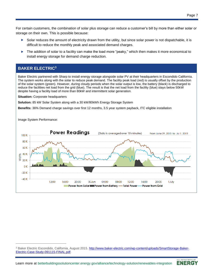For certain customers, the combination of solar plus storage can reduce a customer's bill by more than either solar or storage on their own. This is possible because:

- Solar reduces the amount of electricity drawn from the utility, but since solar power is not dispatchable, it is difficult to reduce the monthly peak and associated demand charges.
- <span id="page-6-0"></span>▶ The addition of solar to a facility can make the load more "peaky," which then makes it more economical to install energy storage for demand charge reduction.

#### **BAKER ELECTRIC[3](#page-6-0)**

Baker Electric partnered with Sharp to install energy storage alongside solar PV at their headquarters in Escondido California. The system works along with the solar to reduce peak demand. The facility peak load (red) is usually offset by the production of the solar system (green). However, during cloudy periods when the solar output is low, the battery (black) is discharged to reduce the facilities net load from the grid (blue). The result is that the net load from the facility (blue) stays below 50kW despite having a facility load of more than 80kW and intermittent solar generation.

**Situation: Corporate headquarters** 

**Solution:** 85 kW Solar System along with a 30 kW/80kWh Energy Storage System

**Benefits:** 36% Demand charge savings over first 12 months, 3.5 year system payback, ITC eligible installation

Image System Performance:





<sup>&</sup>lt;sup>3</sup> Baker Electric Escondido, California, August 2015. [http://www.baker-electric.com/wp-content/uploads/SmartStorage-Baker-](http://www.baker-electric.com/wp-content/uploads/SmartStorage-Baker-Electric-Case-Study-091115-FINAL.pdf)Electric-Case-Study-091115-FINAL.pdf.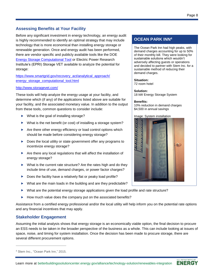#### **Assessing Benefits at Your Facility**

Before any significant investment in energy technology, an energy audit is highly recommended to identify an optimal strategy that may include technology that is more economical than installing energy storage or renewable generation. Once and energy audit has been performed, there are vendor specific and publicly available tools like the DOE [Energy Storage Computational Tool](https://www.smartgrid.gov/recovery_act/analytical_approach/energy_storage_computational_tool.html) or Electric Power Research Institute's (EPRI) Storage VET available to analyze the potential for storage:

[https://www.smartgrid.gov/recovery\\_act/analytical\\_approach/](https://www.smartgrid.gov/recovery_act/analytical_approach/energy_storage_computational_tool.html) [energy\\_storage\\_computational\\_tool.html](https://www.smartgrid.gov/recovery_act/analytical_approach/energy_storage_computational_tool.html)

#### <http://www.storagevet.com/>

These tools will help analyze the energy usage at your facility, and determine which (if any) of the applications listed above are suitable for your facility, and the associated monetary value. In addition to the output from these tools, common questions to consider include:

- ▶ What is the goal of installing storage?
- ▶ What is the net benefit (or cost) of installing a storage system?
- $\triangleright$  Are there other energy efficiency or load control options which should be made before considering energy storage?
- ▶ Does the local utility or state government offer any programs to incentivize energy storage?
- Are there any local regulations that will affect the installation of energy storage?
- ▶ What is the current rate structure? Are the rates high and do they include time of use, demand charges, or power factor charges?
- ▶ Does the facility have a relatively flat or peaky load profile?
- ▶ What are the main loads in the building and are they predictable?
- What are the potential energy storage applications given the load profile and rate structure?
- $\blacktriangleright$  How much value does the company put on the associated benefits?

Assistance from a certified energy professional and/or the local utility will help inform you on the potential rate options and any financial incentives that may apply.

#### **Stakeholder Engagement**

Assuming the initial analysis shows that energy storage is an economically viable option, the final decision to procure an ESS needs to be taken in the broader perspective of the business as a whole. This can include looking at issues of space, noise, and timing for system installation. Once the decision has been made to procure storage, there are several different procurement options.

## **OCEAN PARK INN[4](#page-7-0)**

The Ocean Park Inn had high peaks, with demand charges accounting for up to 50% of their monthly bill. They were looking for sustainable solutions which wouldn't adversely affecting guests or operations and decided to partner with Stem Inc. for a sustainable method of reducing their demand charges.

**Situation:**  72 room hotel

**Solution:**  18 kW Energy Storage System

#### **Benefits:**

10% reduction in demand charges \$4,500 in annual savings

Image: System installation

<span id="page-7-0"></span>

<sup>4</sup> Stem Inc., "Ocean Park Inn," 2015.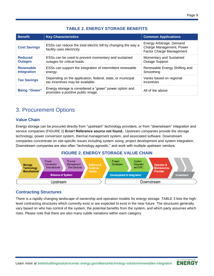## **TABLE 2. ENERGY STORAGE BENEFITS**

| <b>Benefit</b>                         | <b>Key Characteristics</b>                                                                     | <b>Common Applications</b>                                                              |  |
|----------------------------------------|------------------------------------------------------------------------------------------------|-----------------------------------------------------------------------------------------|--|
| <b>Cost Savings</b>                    | ESSs can reduce the total electric bill by changing the way a<br>facility uses electricity.    | Energy Arbitrage, Demand<br>Charge Management, Power<br><b>Factor Charge Management</b> |  |
| <b>Reduced</b><br><b>Outages</b>       | ESSs can be used to prevent momentary and sustained<br>outages for critical loads.             | Momentary and Sustained<br><b>Outage Support</b>                                        |  |
| <b>Renewable</b><br><b>Integration</b> | ESSs can support the integration of intermittent renewable<br>energy.                          | Renewable Energy Shifting and<br>Smoothing                                              |  |
| <b>Tax Savings</b>                     | Depending on the application, federal, state, or municipal<br>tax incentives may be available. | Varies based on regional<br>incentives                                                  |  |
| <b>Being "Green"</b>                   | Energy storage is considered a "green" power option and<br>promotes a positive public image.   | All of the above                                                                        |  |

# 3. Procurement Options

#### **Value Chain**

Energy storage can be procured directly from "upstream" technology providers, or from "downstream" integration and service companies (FIGURE 2) **Error! Reference source not found.**. Upstream companies provide the storage technology, power conversion system, thermal management system, and associated software. Downstream companies concentrate on site-specific issues including system sizing, project development and system integration. Downstream companies are also often "technology agnostic," and work with multiple upstream vendors.

#### **FIGURE 2. ENERGY STORAGE VALUE CHAIN**



#### **Contracting Structures**

There is a rapidly changing landscape of ownership and operation models for energy storage. TABLE 3 lists the highlevel contracting structures which currently exist or are expected to exist in the near future. The structures generally vary based on who has control of the system, the potential benefits from the system, and which party assumes which risks. Please note that there are also many subtle variations within each category.

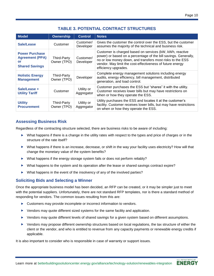## **TABLE 3. POTENTIAL CONTRACT STRUCTURES**

| <b>Model</b>                                                                   | <b>Ownership</b>           | <b>Control</b>           | <b>Notes</b>                                                                                                                                                                                                                                                                  |
|--------------------------------------------------------------------------------|----------------------------|--------------------------|-------------------------------------------------------------------------------------------------------------------------------------------------------------------------------------------------------------------------------------------------------------------------------|
| Sale/Lease                                                                     | Customer                   | Customer/<br>Developer   | Gives the customer the control over the ESS, but the customer<br>assumes the majority of the technical and business risk.                                                                                                                                                     |
| <b>Power Purchase</b><br><b>Agreement (PPA)</b><br>or<br><b>Shared Savings</b> | Third-Party<br>Owner (TPO) | Customer/<br>Developer   | Customer is charged based on services (kW, kWh, reactive<br>power) or based on a percentage of the bill savings. Generally,<br>no or low money down, and transfers most risks to the ESS<br>vendor. May limit the cost-effectiveness of future energy<br>efficiency upgrades. |
| <b>Holistic Energy</b><br><b>Management</b>                                    | Third-Party<br>Owner (TPO) | Developer                | Complete energy management solutions including energy<br>audits, energy efficiency, bill management, distributed<br>generation, and load control.                                                                                                                             |
| Sale/Lease +<br><b>Utility Tariff</b>                                          | Customer                   | Utility or<br>Aggregator | Customer purchases the ESS but "shares" it with the utility.<br>Customer receives lower bills but may have restrictions on<br>when or how they operate the ESS.                                                                                                               |
| <b>Utility</b><br><b>Procurement</b>                                           | Third-Party<br>Owner (TPO) | Utility or<br>Aggregator | Utility purchases the ESS and locates it at the customer's<br>facility. Customer receives lower bills, but may have restrictions<br>on when or how they operate the ESS.                                                                                                      |

### **Assessing Business Risk**

Regardless of the contracting structure selected, there are business risks to be aware of including:

- $\triangleright$  What happens if there is a change in the utility rates with respect to the types and price of charges or in the structure of the rate itself?
- $\triangleright$  What happens if there is an increase, decrease, or shift in the way your facility uses electricity? How will that change the monetary value of the system benefits?
- ▶ What happens if the energy storage system fails or does not perform reliably?
- What happens to the system and its operation after the lease or shared savings contract expire?
- ▶ What happens in the event of the insolvency of any of the involved parties?

#### **Soliciting Bids and Selecting a Winner**

Once the appropriate business model has been decided, an RFP can be created, or it may be simpler just to meet with the potential suppliers. Unfortunately, there are not standard RFP templates, nor is there a standard method of responding for vendors. The common issues resulting from this are:

- ▶ Customers may provide incomplete or incorrect information to vendors.
- ▶ Vendors may quote different sized systems for the same facility and application.
- ▶ Vendors may quote different levels of shared savings for a given system based on different assumptions.
- Vendors may propose different ownership structures based on local regulations, the tax structure of either the client or the vendor, and who is entitled to revenue from any capacity payments or renewable energy credits if applicable.

It is also important to consider who is responsible in case of warranty or support issues.

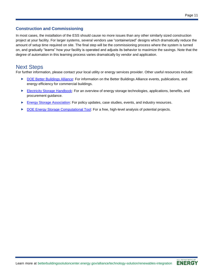#### **Construction and Commissioning**

In most cases, the installation of the ESS should cause no more issues than any other similarly sized construction project at your facility. For larger systems, several vendors use "containerized" designs which dramatically reduce the amount of setup time required on site. The final step will be the commissioning process where the system is turned on, and gradually "learns" how your facility is operated and adjusts its behavior to maximize the savings. Note that the degree of automation in this learning process varies dramatically by vendor and application.

# Next Steps

For further information, please contact your local utility or energy services provider. Other useful resources include:

- ▶ [DOE Better Buildings Alliance:](https://betterbuildingssolutioncenter.energy.gov/alliance) For information on the Better Buildings Alliance events, publications, and energy efficiency for commercial buildings.
- [Electricity Storage Handbook:](http://www.sandia.gov/ess/publications/SAND2015-1002.pdf) For an overview of energy storage technologies, applications, benefits, and procurement guidance.
- **[Energy Storage Association:](http://energystorage.org/) For policy updates, case studies, events, and industry resources.**
- [DOE Energy Storage Computational Tool:](https://www.smartgrid.gov/recovery_act/analytical_approach/energy_storage_computational_tool.html) For a free, high-level analysis of potential projects.